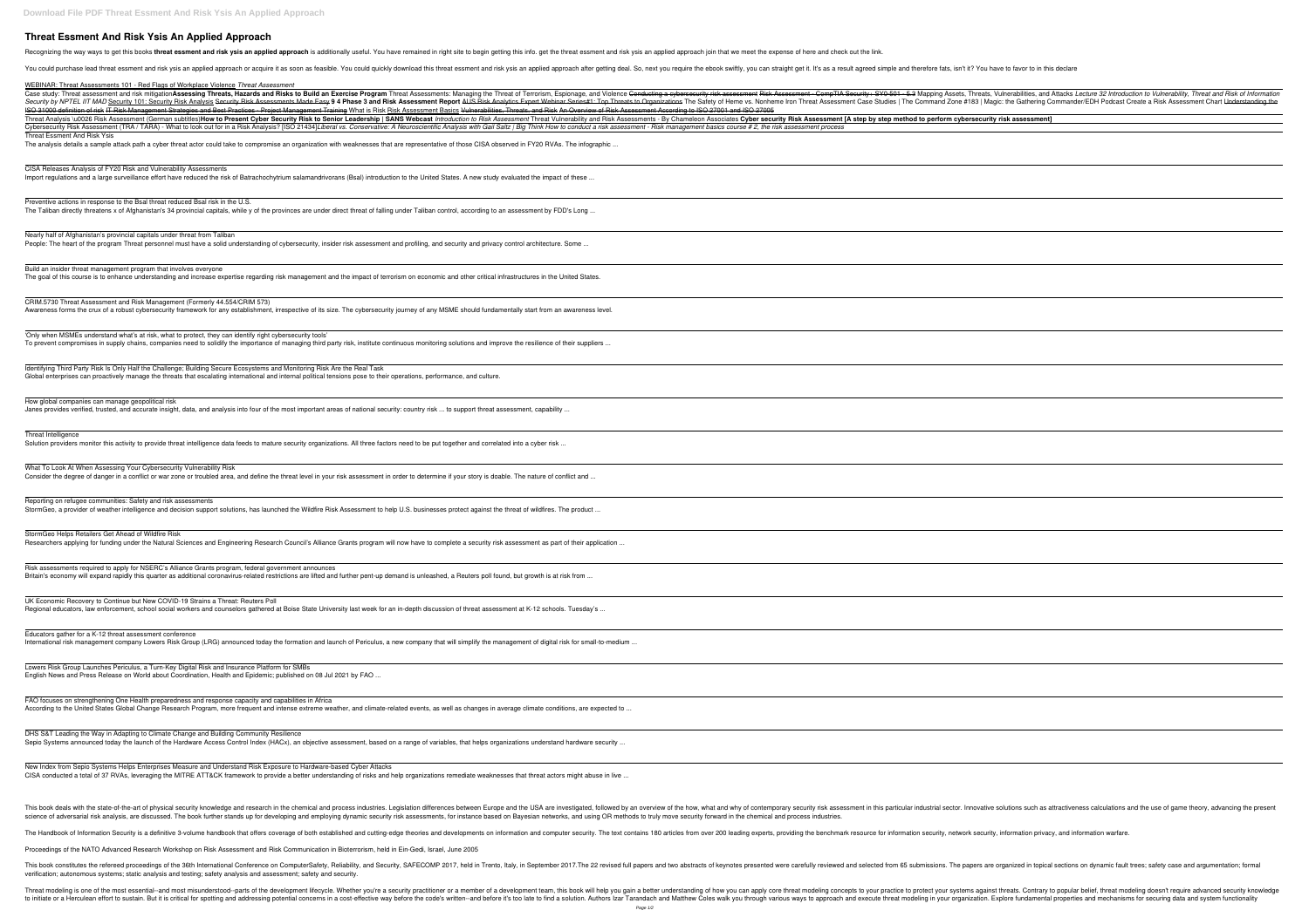## **Threat Essment And Risk Ysis An Applied Approach**

Recognizing the way ways to get this books threat essment and risk ysis an applied approach is additionally useful. You have remained in right site to begin getting this info. get the threat essment and risk ysis an applie

You could purchase lead threat essment and risk ysis an applied approach or acquire it as soon as feasible. You could quickly download this threat essment and risk ysis an applied approach after getting deal. So, next you

science of adversarial risk analysis, are discussed. The book further stands up for developing and employing dynamic security risk assessments, for instance based on Bayesian networks, and using OR methods to truly move se

The Handbook of Information Security is a definitive 3-volume handbook that offers coverage of both established and cutting-edge theories and developments on information and computer security. The text contains 180 article

| WEBINAR: Threat Assessments 101 - Red Flags of Workplace Violence Threat Assessment                                                                                                                                                                                                                                                                                                                                                                                                                                                                                                                                                                                                               |
|---------------------------------------------------------------------------------------------------------------------------------------------------------------------------------------------------------------------------------------------------------------------------------------------------------------------------------------------------------------------------------------------------------------------------------------------------------------------------------------------------------------------------------------------------------------------------------------------------------------------------------------------------------------------------------------------------|
| Case study: Threat assessment and risk mitigation Assessing Threats, Hazards and Risks to Build an Exercise Program Threat Assessments: Managing the Threats, Vulnerabilities, and Attacks Lecture 32 Introduction to Vulnerab<br>Security by NPTEL IIT MAD Security 101: Security Risk Analysis Security Risk Assessments Made Easy 9 4 Phase 3 and Risk Assessment Report AUS Risk Analytics Expert Webinar Series#1: Top Threats to Organizations The Command<br>ISO 31000 definition of risk IT Risk Management Strategies and Best Practices - Project Management Training What is Risk Assessment Basics Vulnerabilities, Threats, and Risk An Overview of Risk Assessment According to ISO |
| Threat Analysis \u0026 Risk Assessment (German subtitles) How to Present Cyber Security Risk to Senior Leadership   SANS Webcast Introduction to Risk Assessment Threat Vulnerability and Risk Assessments - By Chameleon Asso                                                                                                                                                                                                                                                                                                                                                                                                                                                                    |
| Cybersecurity Risk Assessment (TRA / TARA) - What to look out for in a Risk Analysis? [ISO 21434]Liberal vs. Conservative: A Neuroscientific Analysis with Gail Saltz   Big Think How to conduct a risk assessment - Risk mana                                                                                                                                                                                                                                                                                                                                                                                                                                                                    |
| Threat Essment And Risk Ysis<br>The analysis details a sample attack path a cyber threat actor could take to compromise an organization with weaknesses that are representative of those CISA observed in FY20 RVAs. The infographic                                                                                                                                                                                                                                                                                                                                                                                                                                                              |
| CISA Releases Analysis of FY20 Risk and Vulnerability Assessments                                                                                                                                                                                                                                                                                                                                                                                                                                                                                                                                                                                                                                 |
| Import regulations and a large surveillance effort have reduced the risk of Batrachochytrium salamandrivorans (Bsal) introduction to the United States. A new study evaluated the impact of these                                                                                                                                                                                                                                                                                                                                                                                                                                                                                                 |
| Preventive actions in response to the Bsal threat reduced Bsal risk in the U.S.<br>The Taliban directly threatens x of Afghanistan's 34 provincial capitals, while y of the provinces are under direct threat of falling under Taliban control, according to an assessment by FDD's Long                                                                                                                                                                                                                                                                                                                                                                                                          |
|                                                                                                                                                                                                                                                                                                                                                                                                                                                                                                                                                                                                                                                                                                   |
| Nearly half of Afghanistan's provincial capitals under threat from Taliban<br>People: The heart of the program Threat personnel must have a solid understanding of cybersecurity, insider risk assessment and profiling, and security and privacy control architecture. Some                                                                                                                                                                                                                                                                                                                                                                                                                      |
|                                                                                                                                                                                                                                                                                                                                                                                                                                                                                                                                                                                                                                                                                                   |
| Build an insider threat management program that involves everyone<br>The goal of this course is to enhance understanding and increase expertise regarding risk management and the impact of terrorism on economic and other critical infrastructures in the United States.                                                                                                                                                                                                                                                                                                                                                                                                                        |
| CRIM.5730 Threat Assessment and Risk Management (Formerly 44.554/CRIM 573)                                                                                                                                                                                                                                                                                                                                                                                                                                                                                                                                                                                                                        |
| Awareness forms the crux of a robust cybersecurity framework for any establishment, irrespective of its size. The cybersecurity journey of any MSME should fundamentally start from an awareness level.                                                                                                                                                                                                                                                                                                                                                                                                                                                                                           |
| 'Only when MSMEs understand what's at risk, what to protect, they can identify right cybersecurity tools'                                                                                                                                                                                                                                                                                                                                                                                                                                                                                                                                                                                         |
| To prevent compromises in supply chains, companies need to solidify the importance of managing third party risk, institute continuous monitoring solutions and improve the resilience of their suppliers                                                                                                                                                                                                                                                                                                                                                                                                                                                                                          |
| Identifying Third Party Risk Is Only Half the Challenge; Building Secure Ecosystems and Monitoring Risk Are the Real Task<br>Global enterprises can proactively manage the threats that escalating international and internal political tensions pose to their operations, performance, and culture.                                                                                                                                                                                                                                                                                                                                                                                              |
| How global companies can manage geopolitical risk<br>Janes provides verified, trusted, and accurate insight, data, and analysis into four of the most important areas of national security: country risk  to support threat assessment, capability                                                                                                                                                                                                                                                                                                                                                                                                                                                |
|                                                                                                                                                                                                                                                                                                                                                                                                                                                                                                                                                                                                                                                                                                   |
| Threat Intelligence<br>Solution providers monitor this activity to provide threat intelligence data feeds to mature security organizations. All three factors need to be put together and correlated into a cyber risk                                                                                                                                                                                                                                                                                                                                                                                                                                                                            |
| What To Look At When Assessing Your Cybersecurity Vulnerability Risk                                                                                                                                                                                                                                                                                                                                                                                                                                                                                                                                                                                                                              |
| Consider the degree of danger in a conflict or war zone or troubled area, and define the threat level in your risk assessment in order to determine if your story is doable. The nature of conflict and                                                                                                                                                                                                                                                                                                                                                                                                                                                                                           |
| Reporting on refugee communities: Safety and risk assessments<br>StormGeo, a provider of weather intelligence and decision support solutions, has launched the Wildfire Risk Assessment to help U.S. businesses protect against the threat of wildfires. The product                                                                                                                                                                                                                                                                                                                                                                                                                              |
|                                                                                                                                                                                                                                                                                                                                                                                                                                                                                                                                                                                                                                                                                                   |
| StormGeo Helps Retailers Get Ahead of Wildfire Risk<br>Researchers applying for funding under the Natural Sciences and Engineering Research Council's Alliance Grants program will now have to complete a security risk assessment as part of their application                                                                                                                                                                                                                                                                                                                                                                                                                                   |
| Risk assessments required to apply for NSERC's Alliance Grants program, federal government announces                                                                                                                                                                                                                                                                                                                                                                                                                                                                                                                                                                                              |
| Britain's economy will expand rapidly this quarter as additional coronavirus-related restrictions are lifted and further pent-up demand is unleashed, a Reuters poll found, but growth is at risk from                                                                                                                                                                                                                                                                                                                                                                                                                                                                                            |
| UK Economic Recovery to Continue but New COVID-19 Strains a Threat: Reuters Poll<br>Regional educators, law enforcement, school social workers and counselors gathered at Boise State University last week for an in-depth discussion of threat assessment at K-12 schools. Tuesday's                                                                                                                                                                                                                                                                                                                                                                                                             |
| Educators gather for a K-12 threat assessment conference<br>International risk management company Lowers Risk Group (LRG) announced today the formation and launch of Periculus, a new company that will simplify the management of digital risk for small-to-medium                                                                                                                                                                                                                                                                                                                                                                                                                              |
| Lowers Risk Group Launches Periculus, a Turn-Key Digital Risk and Insurance Platform for SMBs<br>English News and Press Release on World about Coordination, Health and Epidemic; published on 08 Jul 2021 by FAO                                                                                                                                                                                                                                                                                                                                                                                                                                                                                 |
|                                                                                                                                                                                                                                                                                                                                                                                                                                                                                                                                                                                                                                                                                                   |
| FAO focuses on strengthening One Health preparedness and response capacity and capabilities in Africa<br>According to the United States Global Change Research Program, more frequent and intense extreme weather, and climate-related events, as well as changes in average climate conditions, are expected to                                                                                                                                                                                                                                                                                                                                                                                  |
| DHS S&T Leading the Way in Adapting to Climate Change and Building Community Resilience<br>Sepio Systems announced today the launch of the Hardware Access Control Index (HACx), an objective assessment, based on a range of variables, that helps organizations understand hardware security                                                                                                                                                                                                                                                                                                                                                                                                    |
|                                                                                                                                                                                                                                                                                                                                                                                                                                                                                                                                                                                                                                                                                                   |
| New Index from Sepio Systems Helps Enterprises Measure and Understand Risk Exposure to Hardware-based Cyber Attacks<br>CISA conducted a total of 37 RVAs, leveraging the MITRE ATT&CK framework to provide a better understanding of risks and help organizations remediate weaknesses that threat actors might abuse in live                                                                                                                                                                                                                                                                                                                                                                     |
| This book deals with the state-of-the-art of physical security knowledge and research in the chemical and process industries. Legislation differences between Europe and the USA are investigated, followed by an overview of                                                                                                                                                                                                                                                                                                                                                                                                                                                                     |
| ining and ample ina dynamic security siely essessments, festivatores becad on Devesion petuasion conjuitor OD methods to tsuly move esquity festival in the ebomical and presence inductri                                                                                                                                                                                                                                                                                                                                                                                                                                                                                                        |

| <u> 1989 - Johann Stoff, amerikansk politiker (d. 1989)</u> |  |  |
|-------------------------------------------------------------|--|--|
| <u> 1980 - Johann Barn, fransk politik (f. 1980)</u>        |  |  |
|                                                             |  |  |
| <u> 1989 - Johann Stoff, amerikansk politiker (d. 1989)</u> |  |  |
|                                                             |  |  |
|                                                             |  |  |
|                                                             |  |  |
|                                                             |  |  |
|                                                             |  |  |
|                                                             |  |  |
|                                                             |  |  |
|                                                             |  |  |
|                                                             |  |  |
|                                                             |  |  |
|                                                             |  |  |
|                                                             |  |  |
|                                                             |  |  |
|                                                             |  |  |

This book constitutes the refereed proceedings of the 36th International Conference on ComputerSafety, Reliability, and Security, SAFECOMP 2017. The 22 revised full papers and two abstracts of keynotes presented were caref verification; autonomous systems; static analysis and testing; safety analysis and assessment; safety and security.

Threat modeling is one of the most essential--and most misunderstood--parts of the development lifecycle. Whether you're a security practitioner or a member of a development team, this book will help you gain a better unde a cost-effective way before the and before it and and meman and before it's too late to find a solution. Authors lzar Tarandach and before it's too late to find a solution. Explore fundamental properties and mechanisms for Page 1/2

Proceedings of the NATO Advanced Research Workshop on Risk Assessment and Risk Communication in Bioterrorism, held in Ein-Gedi, Israel, June 2005